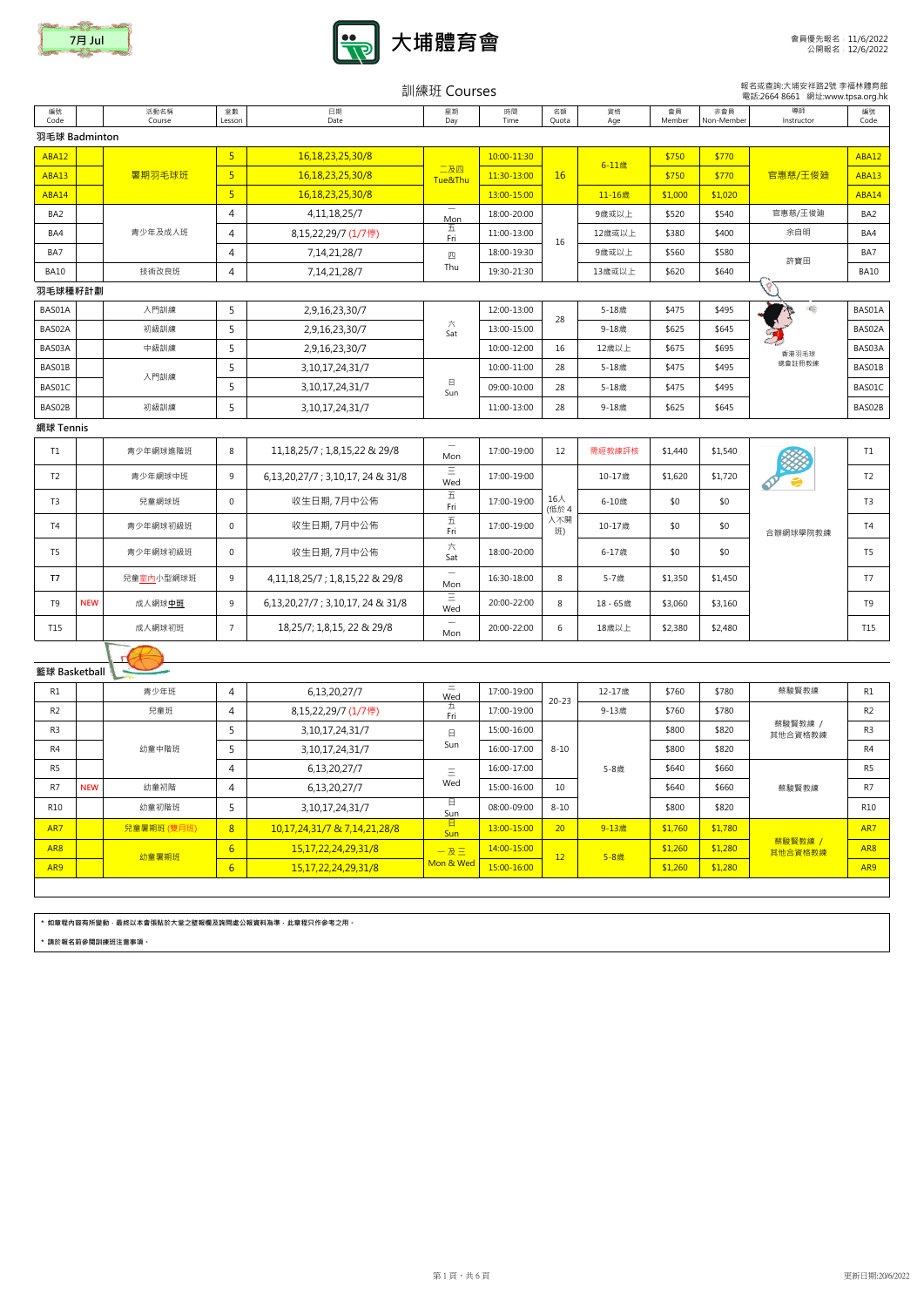|                 |            |                    |                 |                                        | 訓練班 Courses                     |             |             |            |              |                   | 報名或查詢:大埔安祥路2號 李福林體育館<br>電話:2664 8661 網址:www.tpsa.org.hk |                 |
|-----------------|------------|--------------------|-----------------|----------------------------------------|---------------------------------|-------------|-------------|------------|--------------|-------------------|---------------------------------------------------------|-----------------|
| 編號<br>Code      |            | 活動名稱<br>Course     | 堂數<br>Lesson    | 日期<br>Date                             | 星期<br>Day                       | 時間<br>Time  | 名額<br>Quota | 資格<br>Age  | 會員<br>Member | 非會員<br>Non-Member | 導師<br>Instructor                                        | 編號<br>Code      |
| 羽毛球 Badminton   |            |                    |                 |                                        |                                 |             |             |            |              |                   |                                                         |                 |
| <b>ABA12</b>    |            |                    | $\overline{5}$  | 16,18,23,25,30/8                       |                                 | 10:00-11:30 |             |            | \$750        | \$770             |                                                         | <b>ABA12</b>    |
| <b>ABA13</b>    |            | 暑期羽毛球班             | 5 <sup>2</sup>  | 16,18,23,25,30/8                       | 二及四<br>Tue&Thu                  | 11:30-13:00 | 16          | $6 - 11$ 歳 | \$750        | \$770             | 官惠慈/王俊廸                                                 | <b>ABA13</b>    |
| ABA14           |            |                    | 5 <sub>o</sub>  | 16,18,23,25,30/8                       |                                 | 13:00-15:00 |             | 11-16歳     | \$1,000      | \$1,020           |                                                         | ABA14           |
| BA <sub>2</sub> |            |                    | 4               | 4, 11, 18, 25/7                        | $\overline{\phantom{m}}$<br>Mon | 18:00-20:00 |             | 9歳或以上      | \$520        | \$540             | 官惠慈/王俊廸                                                 | BA <sub>2</sub> |
| BA4             |            | 青少年及成人班            | 4               | 8,15,22,29/7 (1/7停)                    | 五<br>Fri                        | 11:00-13:00 | 16          | 12歳或以上     | \$380        | \$400             | 余自明                                                     | BA4             |
| BA7             |            |                    | 4               | 7,14,21,28/7                           | 四                               | 18:00-19:30 |             | 9歳或以上      | \$560        | \$580             | 許寶田                                                     | BA7             |
| <b>BA10</b>     |            | 技術改良班              | 4               | 7, 14, 21, 28/7                        | Thu                             | 19:30-21:30 |             | 13歳或以上     | \$620        | \$640             |                                                         | <b>BA10</b>     |
| 羽毛球種籽計劃         |            |                    |                 |                                        |                                 |             |             |            |              |                   |                                                         |                 |
| BAS01A          |            | 入門訓練               | 5               | 2,9,16,23,30/7                         |                                 | 12:00-13:00 | 28          | 5-18歳      | \$475        | \$495             | 工                                                       | BAS01A          |
| BAS02A          |            | 初級訓練               | 5               | 2,9,16,23,30/7                         | 六<br>Sat                        | 13:00-15:00 |             | 9-18歳      | \$625        | \$645             |                                                         | BAS02A          |
| BAS03A          |            | 中級訓練               | 5               | 2,9,16,23,30/7                         |                                 | 10:00-12:00 | 16          | 12歳以上      | \$675        | \$695             | 香港羽毛球                                                   | BAS03A          |
| BAS01B          |            | 入門訓練               | 5               | 3, 10, 17, 24, 31/7                    |                                 | 10:00-11:00 | 28          | 5-18歲      | \$475        | \$495             | 總會註冊教練                                                  | BAS01B          |
| BAS01C          |            |                    | 5               | 3, 10, 17, 24, 31/7                    | $\boxminus$<br>Sun              | 09:00-10:00 | 28          | 5-18歲      | \$475        | \$495             |                                                         | BAS01C          |
| BAS02B          |            | 初級訓練               | 5               | 3, 10, 17, 24, 31/7                    |                                 | 11:00-13:00 | 28          | 9-18歳      | \$625        | \$645             |                                                         | BAS02B          |
| 網球 Tennis       |            |                    |                 |                                        |                                 |             |             |            |              |                   |                                                         |                 |
| T1              |            | 青少年網球進階班           | 8               | 11, 18, 25/7 ; 1, 8, 15, 22 & 29/8     | Mon                             | 17:00-19:00 | 12          | 需經教練評核     | \$1,440      | \$1,540           |                                                         | T1              |
| T <sub>2</sub>  |            | 青少年網球中班            | 9               | 6, 13, 20, 27/7 ; 3, 10, 17, 24 & 31/8 | Ξ<br>Wed                        | 17:00-19:00 |             | 10-17歳     | \$1,620      | \$1,720           | G                                                       | T <sub>2</sub>  |
| T3              |            | 兒童網球班              | $\mathbf 0$     | 收生日期, 7月中公佈                            | 五<br>Fri                        | 17:00-19:00 | 16人<br>(低於4 | 6-10歳      | \$0          | \$0               |                                                         | T <sub>3</sub>  |
| T4              |            | 青少年網球初級班           | $\mathsf{O}$    | 收生日期, 7月中公佈                            | $\overline{\mathrm{h}}$<br>Fri  | 17:00-19:00 | 人不開<br>班)   | 10-17歳     | \$0          | \$0               | 合辦網球學院教練                                                | <b>T4</b>       |
| T <sub>5</sub>  |            | 青少年網球初級班           | 0               | 收生日期, 7月中公佈                            | 六<br>Sat                        | 18:00-20:00 |             | 6-17歳      | \$0          | \$0               |                                                         | T <sub>5</sub>  |
| T7              |            | 兒童 <u>室內</u> 小型網球班 | 9               | 4,11,18,25/7 ; 1,8,15,22 & 29/8        | $\qquad \qquad -$<br>Mon        | 16:30-18:00 | 8           | 5-7歲       | \$1,350      | \$1,450           |                                                         | T7              |
| T9              | <b>NEW</b> | 成人網球中班             | 9               | 6,13,20,27/7; 3,10,17, 24 & 31/8       | $\equiv$<br>Wed                 | 20:00-22:00 | 8           | 18 - 65歳   | \$3,060      | \$3,160           |                                                         | T9              |
| T15             |            | 成人網球初班             | $7\overline{ }$ | 18,25/7; 1,8,15, 22 & 29/8             | $\overline{\phantom{m}}$<br>Mon | 20:00-22:00 | 6           | 18歳以上      | \$2,380      | \$2,480           |                                                         | T15             |
|                 |            |                    |                 |                                        |                                 |             |             |            |              |                   |                                                         |                 |
| 籃球 Basketball   |            |                    |                 |                                        |                                 |             |             |            |              |                   |                                                         |                 |
| <b>R1</b>       |            | 書小年班               | $\Lambda$       | 61320277                               | Ξ.                              | 17:00-19:00 |             | 12-17歳     | \$760        | \$780             | 藝駿瞖教練                                                   | R1              |

| R1              |            | 青少年班        | 4                | 6,13,20,27/7                 | ᆖ<br>$\overline{\phantom{a}}$<br>Wed | 17:00-19:00 | $20 - 23$       | 12-17歳 | \$760   | \$780   | 蔡駿賢教練              | R1              |
|-----------------|------------|-------------|------------------|------------------------------|--------------------------------------|-------------|-----------------|--------|---------|---------|--------------------|-----------------|
| R <sub>2</sub>  |            | 兒童班         | $\overline{4}$   | 8,15,22,29/7 (1/7停)          | 끄<br>Fri                             | 17:00-19:00 |                 | 9-13歳  | \$760   | \$780   |                    | R <sub>2</sub>  |
| R <sub>3</sub>  |            |             |                  | 3, 10, 17, 24, 31/7          | $\Box$                               | 15:00-16:00 |                 |        | \$800   | \$820   | 蔡駿賢教練 /<br>其他合資格教練 | R <sub>3</sub>  |
| R4              |            | 幼童中階班       |                  | 3, 10, 17, 24, 31/7          | Sun                                  | 16:00-17:00 | $8 - 10$        |        | \$800   | \$820   |                    | R4              |
| R <sub>5</sub>  |            |             | 4                | 6,13,20,27/7                 | $\equiv$<br>$\overline{\phantom{0}}$ | 16:00-17:00 |                 | 5-8歲   | \$640   | \$660   |                    | R <sub>5</sub>  |
| R <sub>7</sub>  | <b>NEW</b> | 幼童初階        | $\overline{4}$   | 6,13,20,27/7                 | Wed                                  | 15:00-16:00 | 10              |        | \$640   | \$660   | 蔡駿賢教練              | R <sub>7</sub>  |
| R10             |            | 幼童初階班       |                  | 3, 10, 17, 24, 31/7          | 日<br>Sun                             | 08:00-09:00 | $8 - 10$        |        | \$800   | \$820   |                    | R <sub>10</sub> |
| AR7             |            | 兒童暑期班 (雙月班) | 8                | 10,17,24,31/7 & 7,14,21,28/8 | $\Box$<br><b>Sun</b>                 | 13:00-15:00 | 20 <sup>°</sup> | 9-13歳  | \$1,760 | \$1,780 |                    | AR7             |
| AR <sub>8</sub> |            | 幼童暑期班       | 6                | 15, 17, 22, 24, 29, 31/8     | $-$ 及三                               | 14:00-15:00 | 12              | 5-8歲   | \$1,260 | \$1,280 | 蔡駿賢教練 /<br>其他合資格教練 | AR <sub>8</sub> |
| AR <sub>9</sub> |            |             | $6 \overline{6}$ | 15, 17, 22, 24, 29, 31/8     | Mon & Wed                            | 15:00-16:00 |                 |        | \$1,260 | \$1,280 |                    | AR <sub>9</sub> |

\* 如章程內容有所變動,最終以本會張貼於大堂之壁報欄及詢問處公報資料為準,此章程只作參考之用。

\* 請於報名前參閱訓練班注意事項。



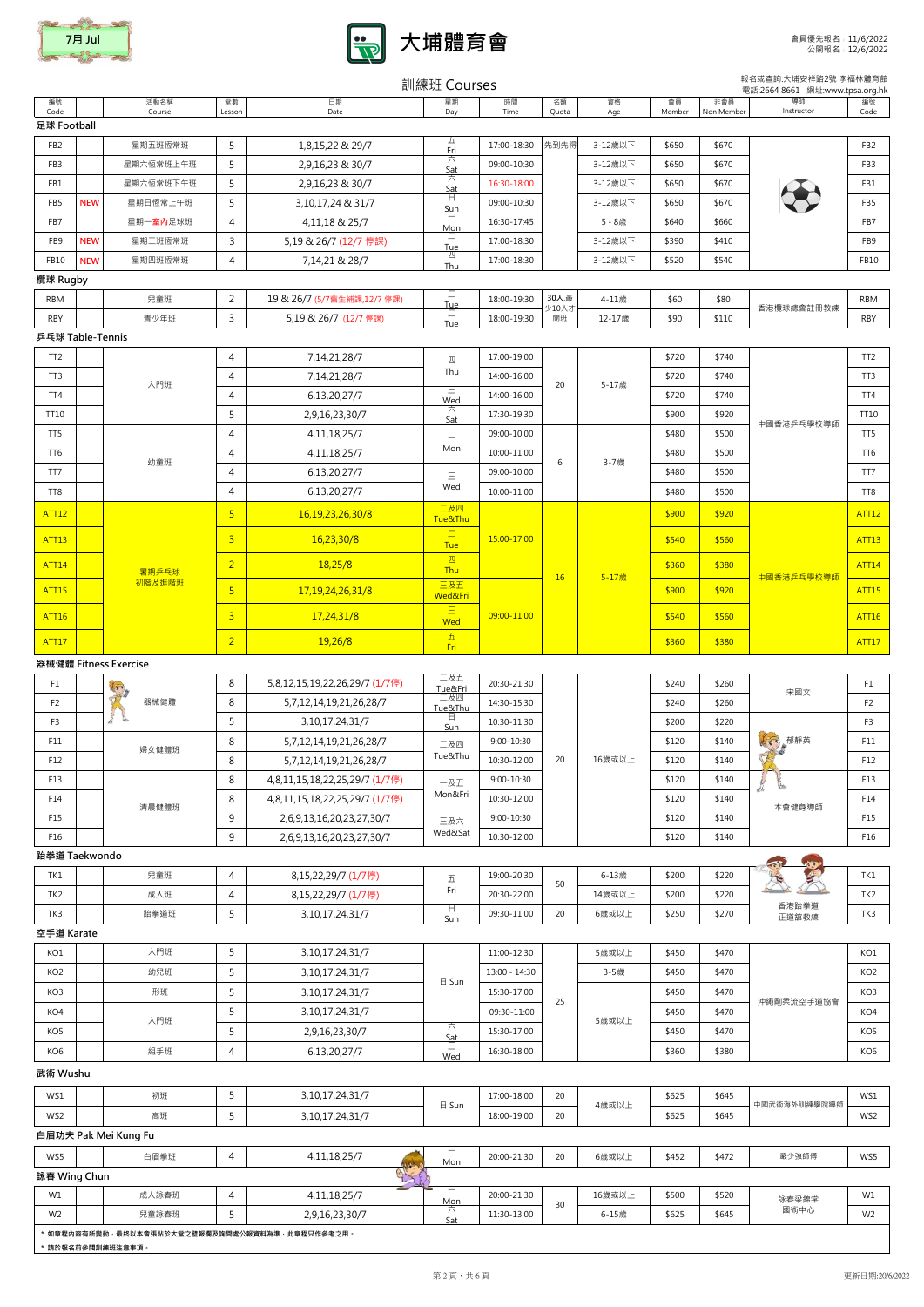編號 Code



活動名稱 Course

### 日期 Date 星期 Day 時間 Time 名額 Quota 資格 Age 會員 Membe 非會員 Non Memb 編號 Code 導師 **Instructor** 訓練班 Courses 報名或查詢:大埔安祥路2號 李福林體育館 **電話:2664 8661 網址:www.tpsa.org.hk**

堂數 Lesson

| 足球 Football     |            |                         |                |                       |          |             |      |         |       |       |                 |
|-----------------|------------|-------------------------|----------------|-----------------------|----------|-------------|------|---------|-------|-------|-----------------|
| FB <sub>2</sub> |            | 星期五班恆常班                 |                | 1,8,15,22 & 29/7      | Fri      | 17:00-18:30 | 先到先得 | 3-12歳以下 | \$650 | \$670 | FB <sub>2</sub> |
| FB <sub>3</sub> |            | 星期六恆常班上午班               |                | 2,9,16,23 & 30/7      | 六<br>Sat | 09:00-10:30 |      | 3-12歳以下 | \$650 | \$670 | FB <sub>3</sub> |
| FB1             |            | 星期六恆常班下午班               |                | 2,9,16,23 & 30/7      | 六<br>Sat | 16:30-18:00 |      | 3-12歳以下 | \$650 | \$670 | FB1             |
| FB <sub>5</sub> | <b>NEW</b> | 星期日恆常上午班                |                | 3,10,17,24 & 31/7     | ᄇ<br>Sun | 09:00-10:30 |      | 3-12歲以下 | \$650 | \$670 | FB5             |
| FB7             |            | 星期一 <mark>室內</mark> 足球班 | $\overline{4}$ | 4,11,18 & 25/7        | –<br>Mon | 16:30-17:45 |      | 5-8歳    | \$640 | \$660 | FB7             |
| FB <sub>9</sub> | <b>NEW</b> | 星期二班恆常班                 | $\overline{2}$ | 5,19 & 26/7 (12/7 停課) | -<br>Tue | 17:00-18:30 |      | 3-12歲以下 | \$390 | \$410 | FB <sub>9</sub> |
| FB10            | <b>NEW</b> | 星期四班恆常班                 | $\overline{4}$ | 7,14,21 & 28/7        | 四<br>Thu | 17:00-18:30 |      | 3-12歲以下 | \$520 | \$540 | <b>FB10</b>     |

## 欖球 Rugby

# 乒乓球 Table-Tennis

# 器械健體 Fitness Exercise

| <b>RBM</b> | 兒童班  | 19 & 26/7<br>1.121 | $\overline{\phantom{0}}$<br>$\sim$<br>lue | 18:00-19:30 | 30人,最<br>少10人 | 77#<br>−⊥⊥成 | \$60 | \$80  | 香港欖球總會註冊教練 | RBM        |
|------------|------|--------------------|-------------------------------------------|-------------|---------------|-------------|------|-------|------------|------------|
| RBY        | 青少年班 | $5,19$ & $26/7$    | $\overline{\phantom{a}}$<br>Tue           | 18:00-19:30 | 開班            | 12.17肯      | \$90 | \$110 |            | <b>RBY</b> |

| TT <sub>2</sub> |        | 4              | 7, 14, 21, 28/7      | 四                                                           | 17:00-19:00 |    |       | \$720 | \$740 |            | TT <sub>2</sub> |
|-----------------|--------|----------------|----------------------|-------------------------------------------------------------|-------------|----|-------|-------|-------|------------|-----------------|
| TT <sub>3</sub> | 入門班    | 4              | 7,14,21,28/7         | Thu                                                         | 14:00-16:00 | 20 | 5-17歳 | \$720 | \$740 |            | TT <sub>3</sub> |
| TT4             |        | 4              | 6,13,20,27/7         | $=$<br>Wed                                                  | 14:00-16:00 |    |       | \$720 | \$740 |            | TT4             |
| TT10            |        | 5              | 2,9,16,23,30/7       | 六<br>Sat                                                    | 17:30-19:30 |    |       | \$900 | \$920 | 中國香港乒乓學校導師 | TT10            |
| TT5             |        | 4              | 4, 11, 18, 25/7      | $\overbrace{\qquad \qquad }$                                | 09:00-10:00 |    |       | \$480 | \$500 |            | TT5             |
| TT6             | 幼童班    | 4              | 4, 11, 18, 25/7      | Mon                                                         | 10:00-11:00 | 6  | 3-7歳  | \$480 | \$500 |            | TT6             |
| TT7             |        | 4              | 6,13,20,27/7         | $\equiv$                                                    | 09:00-10:00 |    |       | \$480 | \$500 |            | TT7             |
| TT8             |        | 4              | 6,13,20,27/7         | Wed                                                         | 10:00-11:00 |    |       | \$480 | \$500 |            | TT8             |
|                 |        |                |                      |                                                             |             |    |       |       |       |            |                 |
| <b>ATT12</b>    |        | 5              | 16, 19, 23, 26, 30/8 | 二及四<br>Tue&Thu                                              |             |    |       | \$900 | \$920 |            | <b>ATT12</b>    |
| <b>ATT13</b>    |        | $\overline{3}$ | 16,23,30/8           | $\overline{\phantom{a}}$<br>$\overline{\phantom{m}}$<br>Tue | 15:00-17:00 |    |       | \$540 | \$560 |            | <b>ATT13</b>    |
| <b>ATT14</b>    | 暑期乒乓球  | $\overline{2}$ | 18,25/8              | 四<br>Thu                                                    |             |    |       | \$360 | \$380 |            | <b>ATT14</b>    |
| <b>ATT15</b>    | 初階及進階班 | 5 <sup>1</sup> | 17, 19, 24, 26, 31/8 | 三及五<br>Wed&Fri                                              |             | 16 | 5-17歳 | \$900 | \$920 | 中國香港乒乓學校導師 | <b>ATT15</b>    |
| <b>ATT16</b>    |        | $\overline{3}$ | 17,24,31/8           | $\equiv$<br>Wed                                             | 09:00-11:00 |    |       | \$540 | \$560 |            | <b>ATT16</b>    |

## 空手道 Karate

| F <sub>1</sub>  | $\sqrt{2}$    | 8              | 5,8,12,15,19,22,26,29/7 (1/7停) | 二及五<br>Tue&Fri | 20:30-21:30    |    |        | \$240 | \$260 | 宋國文                            | F1              |
|-----------------|---------------|----------------|--------------------------------|----------------|----------------|----|--------|-------|-------|--------------------------------|-----------------|
| F <sub>2</sub>  | 器械健體          | 8              | 5,7,12,14,19,21,26,28/7        | 二及四<br>Tue&Thu | 14:30-15:30    |    |        | \$240 | \$260 |                                | F <sub>2</sub>  |
| F <sub>3</sub>  | ⊵<br>æ.       |                | 3, 10, 17, 24, 31/7            | Ħ.<br>Sun      | 10:30-11:30    |    |        | \$200 | \$220 |                                | F <sub>3</sub>  |
| F11             | 婦女健體班         | 8              | 5,7,12,14,19,21,26,28/7        | 二及四            | $9:00 - 10:30$ |    |        | \$120 | \$140 | Kes,<br><b>和靜英</b>             | F11             |
| F12             |               | 8              | 5,7,12,14,19,21,26,28/7        | Tue&Thu        | 10:30-12:00    | 20 | 16歲或以上 | \$120 | \$140 |                                | F12             |
| F13             |               | 8              | 4,8,11,15,18,22,25,29/7 (1/7停) | 一及五            | $9:00 - 10:30$ |    |        | \$120 | \$140 | 医                              | F13             |
| F14             | 清晨健體班         | 8              | 4,8,11,15,18,22,25,29/7 (1/7停) | Mon&Fri        | 10:30-12:00    |    |        | \$120 | \$140 | 本會健身導師                         | F14             |
| F15             |               | 9              | 2,6,9,13,16,20,23,27,30/7      | 三及六            | $9:00 - 10:30$ |    |        | \$120 | \$140 |                                | F15             |
| F16             |               | 9              | 2,6,9,13,16,20,23,27,30/7      | Wed&Sat        | 10:30-12:00    |    |        | \$120 | \$140 |                                | F16             |
|                 | 跆拳道 Taekwondo |                |                                |                |                |    |        |       |       | <b>SALES</b><br>$\overline{a}$ |                 |
| TK1             | 兒童班           | $\overline{4}$ | 8,15,22,29/7 (1/7停)            | 五              | 19:00-20:30    | 50 | 6-13歳  | \$200 | \$220 |                                | TK1             |
| TK <sub>2</sub> | 成人班           | 4              | 8,15,22,29/7 (1/7停)            | Fri            | 20:30-22:00    |    | 14歳或以上 | \$200 | \$220 |                                | TK <sub>2</sub> |
| TK3             | 跆拳道班          | 5              | 3, 10, 17, 24, 31/7            | Ħ<br>Sun       | 09:30-11:00    | 20 | 6歲或以上  | \$250 | \$270 | 香港跆拳道<br>正道舘教練                 | TK3             |

## 武術 Wushu

| KO1             | 入門班 |   | 3, 10, 17, 24, 31/7 |          | 11:00-12:30   |    | 5歲或以上 | \$450 | \$470 |            | KO1             |
|-----------------|-----|---|---------------------|----------|---------------|----|-------|-------|-------|------------|-----------------|
| KO <sub>2</sub> | 幼兒班 |   | 3, 10, 17, 24, 31/7 | 日 Sun    | 13:00 - 14:30 |    | 3-5歳  | \$450 | \$470 |            | KO <sub>2</sub> |
| KO <sub>3</sub> | 形班  |   | 3, 10, 17, 24, 31/7 |          | 15:30-17:00   | 25 |       | \$450 | \$470 | 沖繩剛柔流空手道協會 | KO3             |
| KO <sub>4</sub> | 入門班 |   | 3, 10, 17, 24, 31/7 |          | 09:30-11:00   |    | 5歲或以上 | \$450 | \$470 |            | KO4             |
| KO <sub>5</sub> |     |   | 2,9,16,23,30/7      | 六<br>Sat | 15:30-17:00   |    |       | \$450 | \$470 |            | KO <sub>5</sub> |
| KO <sub>6</sub> | 組手班 | 4 | 6,13,20,27/7        | -<br>Wed | 16:30-18:00   |    |       | \$360 | \$380 |            | KO <sub>6</sub> |

| WS1 | 初班 | 3, 10, 17, 24, 31/7 | $\sim$ $\sim$<br>$\boxminus$ Sun | 17:00-18:00 | $\frac{1}{2}$<br>击이 | \$625 | \$645 | ̄™術海外訓練壆院導師 ——<br>$+$ $-$<br>+ BX | WS. |
|-----|----|---------------------|----------------------------------|-------------|---------------------|-------|-------|-----------------------------------|-----|
| WS2 | 高班 | 3, 10, 17, 24, 31/7 |                                  | 18:00-19:00 | 4 成 以 以 工           | \$625 | \$645 | 라元特                               | WS2 |

| WS5            |                                                     | 白眉拳班              | 4 | 4, 11, 18, 25/7 | Mon      | 20:00-21:30 | 20 | 6歲或以上  | \$452 | \$472 | 嚴少強師傅 | WS5            |  |  |
|----------------|-----------------------------------------------------|-------------------|---|-----------------|----------|-------------|----|--------|-------|-------|-------|----------------|--|--|
| 詠春 Wing Chun   |                                                     |                   |   | T.3             |          |             |    |        |       |       |       |                |  |  |
| W1             |                                                     | 成人詠春班             | 4 | 4, 11, 18, 25/7 | —<br>Mon | 20:00-21:30 | 30 | 16歲或以上 | \$500 | \$520 | 詠春梁錦棠 | W1             |  |  |
| W <sub>2</sub> |                                                     | 兒童詠春班             |   | 2,9,16,23,30/7  | Sat      | 11:30-13:00 |    | 6-15歳  | \$625 | \$645 | 國術中心  | W <sub>2</sub> |  |  |
|                | * 如章程内容有所變動 · 最終以本會張貼於大堂之壁報欄及詢問處公報資料為準 · 此章程只作參考之用。 |                   |   |                 |          |             |    |        |       |       |       |                |  |  |
|                |                                                     | * 請於報名前參閱訓練班注意事項。 |   |                 |          |             |    |        |       |       |       |                |  |  |

# 白眉功夫 Pak Mei Kung Fu

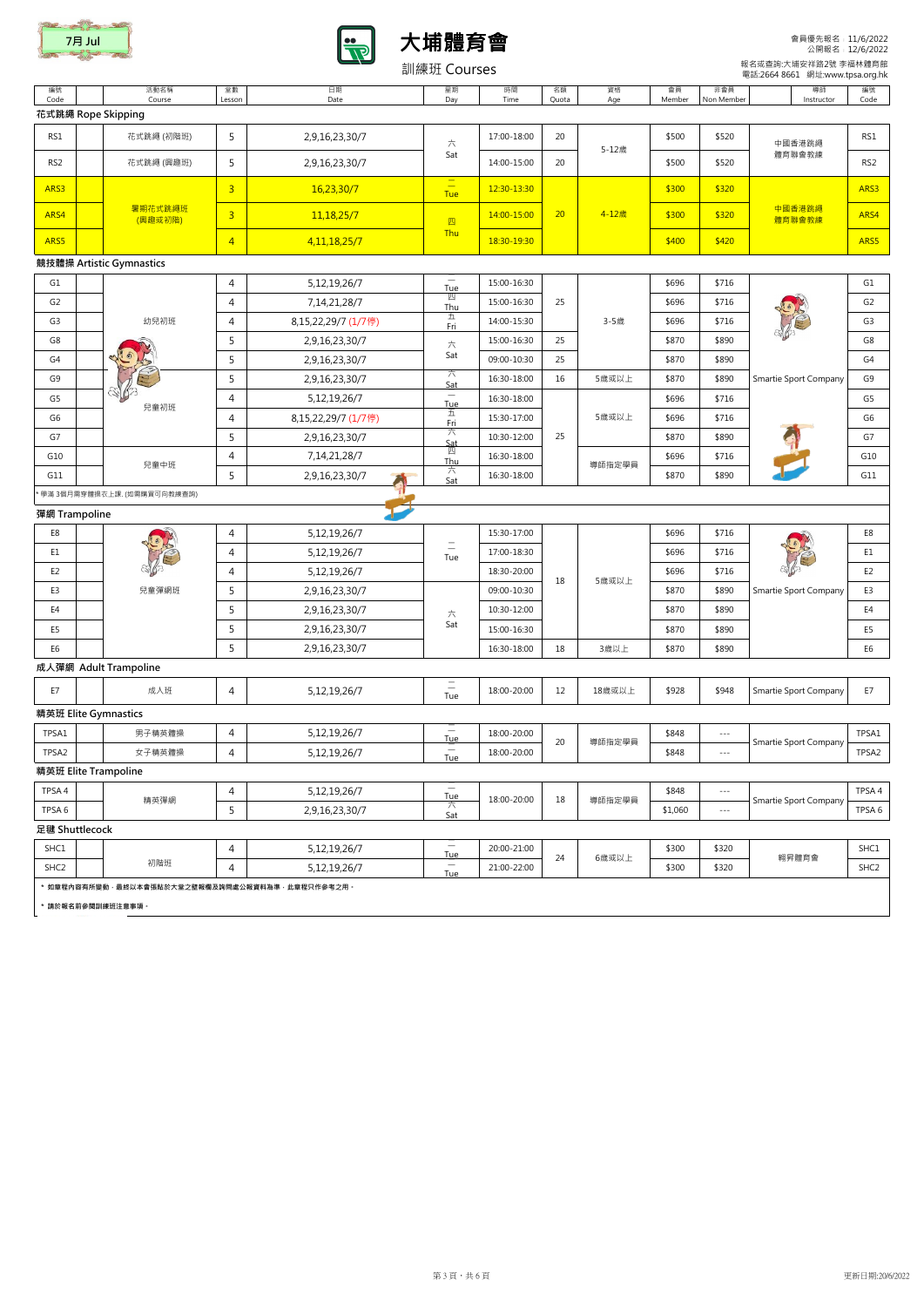| 編號                                             |                             |                |                     |                                        |             |             |           |              |                   |                       |                 |
|------------------------------------------------|-----------------------------|----------------|---------------------|----------------------------------------|-------------|-------------|-----------|--------------|-------------------|-----------------------|-----------------|
| Code                                           | 活動名稱<br>Course              | 堂數<br>Lesson   | 日期<br>Date          | 星期<br>Day                              | 時間<br>Time  | 名額<br>Quota | 資格<br>Age | 會員<br>Member | 非會員<br>Non Member | 導師<br>Instructor      | 編號<br>Code      |
| 花式跳繩 Rope Skipping                             |                             |                |                     |                                        |             |             |           |              |                   |                       |                 |
| RS1                                            | 花式跳繩 (初階班)                  | 5              | 2,9,16,23,30/7      | 六                                      | 17:00-18:00 | 20          |           | \$500        | \$520             | 中國香港跳繩                | RS1             |
| RS <sub>2</sub>                                | 花式跳繩 (興趣班)                  | 5              | 2,9,16,23,30/7      | Sat                                    | 14:00-15:00 | 20          | 5-12歳     | \$500        | \$520             | 體育聯會教練                | RS <sub>2</sub> |
| ARS3                                           |                             | $\overline{3}$ | 16,23,30/7          | $\frac{1}{1}$<br>Tue                   | 12:30-13:30 |             |           | \$300        | \$320             |                       | ARS3            |
| ARS4                                           | 暑期花式跳繩班<br>(興趣或初階)          | $\overline{3}$ | 11,18,25/7          | 四                                      | 14:00-15:00 | 20          | 4-12歳     | \$300        | \$320             | 中國香港跳繩<br>體育聯會教練      | ARS4            |
| ARS5                                           |                             | $\overline{4}$ | 4, 11, 18, 25/7     | Thu                                    | 18:30-19:30 |             |           | \$400        | \$420             |                       | ARS5            |
|                                                | 競技體操 Artistic Gymnastics    |                |                     |                                        |             |             |           |              |                   |                       |                 |
| G1                                             |                             | $\overline{4}$ | 5,12,19,26/7        | $\overline{\phantom{m}}$<br>Tue        | 15:00-16:30 |             |           | \$696        | \$716             |                       | G1              |
| G <sub>2</sub>                                 |                             | $\overline{4}$ | 7, 14, 21, 28/7     | 四<br>Thu                               | 15:00-16:30 | 25          |           | \$696        | \$716             |                       | G <sub>2</sub>  |
| G <sub>3</sub>                                 | 幼兒初班                        | 4              | 8,15,22,29/7 (1/7停) | 五<br>Fri                               | 14:00-15:30 |             | 3-5歳      | \$696        | \$716             |                       | G <sub>3</sub>  |
| G8                                             |                             | 5              | 2,9,16,23,30/7      | 六                                      | 15:00-16:30 | 25          |           | \$870        | \$890             |                       | G8              |
| G4                                             | $\odot$                     | 5              | 2,9,16,23,30/7      | Sat                                    | 09:00-10:30 | 25          |           | \$870        | \$890             |                       | G4              |
| G9                                             |                             | 5              | 2,9,16,23,30/7      | 六<br>Sat                               | 16:30-18:00 | 16          | 5歲或以上     | \$870        | \$890             | Smartie Sport Company | G9              |
| G <sub>5</sub>                                 | E)                          | 4              | 5,12,19,26/7        | $\equiv$<br>Tue                        | 16:30-18:00 |             |           | \$696        | \$716             |                       | G5              |
| G6                                             | 兒童初班                        | 4              | 8,15,22,29/7 (1/7停) | 五<br>Fri                               | 15:30-17:00 |             | 5歳或以上     | \$696        | \$716             |                       | G6              |
| G7                                             |                             | 5              | 2,9,16,23,30/7      | 六                                      | 10:30-12:00 | 25          |           | \$870        | \$890             |                       | G7              |
|                                                |                             | 4              | 7,14,21,28/7        | $rac{\mathsf{Sat}}{\mathbb{Z}}$<br>Thu | 16:30-18:00 |             |           | \$696        | \$716             |                       | G10             |
| G10                                            |                             |                |                     |                                        |             |             |           |              |                   |                       |                 |
| G11                                            | 兒童中班                        | 5              | 2,9,16,23,30/7      | 六                                      | 16:30-18:00 |             | 導師指定學員    | \$870        | \$890             |                       | G11             |
|                                                | 學滿 3個月需穿體操衣上課. (如需購買可向教練查詢) |                |                     | Sat                                    |             |             |           |              |                   |                       |                 |
| 彈網 Trampoline                                  |                             |                |                     |                                        |             |             |           |              |                   |                       |                 |
| E8                                             |                             | 4              | 5,12,19,26/7        |                                        | 15:30-17:00 |             |           | \$696        | \$716             |                       | E8              |
| E1                                             |                             | 4              | 5,12,19,26/7        | $\overline{\phantom{0}}$               | 17:00-18:30 |             |           | \$696        | \$716             |                       | E1              |
| E <sub>2</sub>                                 |                             | 4              | 5,12,19,26/7        | Tue                                    | 18:30-20:00 |             |           | \$696        | \$716             |                       | E <sub>2</sub>  |
| E <sub>3</sub>                                 | 兒童彈網班                       | 5              | 2,9,16,23,30/7      |                                        | 09:00-10:30 | 18          | 5歳或以上     | \$870        | \$890             | Smartie Sport Company | E3              |
| E4                                             |                             | 5              | 2,9,16,23,30/7      |                                        | 10:30-12:00 |             |           | \$870        | \$890             |                       | E4              |
| E5                                             |                             | 5              | 2,9,16,23,30/7      | 六<br>Sat                               | 15:00-16:30 |             |           | \$870        | \$890             |                       | E <sub>5</sub>  |
| E <sub>6</sub>                                 |                             | 5              | 2,9,16,23,30/7      |                                        | 16:30-18:00 | 18          | 3歳以上      | \$870        | \$890             |                       | E <sub>6</sub>  |
|                                                | 成人彈網 Adult Trampoline       |                |                     |                                        |             |             |           |              |                   |                       |                 |
| E7                                             | 成人班                         | 4              | 5,12,19,26/7        | $\equiv$<br>Tue                        | 18:00-20:00 | 12          | 18歳或以上    | \$928        | \$948             | Smartie Sport Company | E7              |
|                                                |                             |                |                     |                                        |             |             |           |              |                   |                       |                 |
| TPSA1                                          | 男子精英體操                      | 4              | 5,12,19,26/7        | $\overline{\phantom{m}}$               | 18:00-20:00 |             |           | \$848        | $\cdots$          |                       | TPSA1           |
| 精英班 Elite Gymnastics<br>TPSA2                  | 女子精英體操                      | 4              | 5,12,19,26/7        | Tue<br>$\equiv$                        | 18:00-20:00 | 20          | 導師指定學員    | \$848        | $- - -$           | Smartie Sport Company | TPSA2           |
|                                                |                             |                |                     | Tue                                    |             |             |           |              |                   |                       |                 |
| TPSA 4                                         |                             | 4              | 5,12,19,26/7        | $\overline{\phantom{m}}$               |             |             |           | \$848        | $\cdots$          |                       | TPSA4           |
| TPSA 6                                         | 精英彈網                        | 5              | 2,9,16,23,30/7      | <b>Tue</b><br>六                        | 18:00-20:00 | 18          | 導師指定學員    | \$1,060      | $- - -$           | Smartie Sport Company | TPSA 6          |
|                                                |                             |                |                     | Sat                                    |             |             |           |              |                   |                       |                 |
| 精英班 Elite Trampoline<br>足毽 Shuttlecock<br>SHC1 |                             | 4              | 5,12,19,26/7        | $\hspace{0.1mm}-\hspace{0.1mm}$<br>Tue | 20:00-21:00 | 24          | 6歲或以上     | \$300        | \$320             | 翱昇體育會                 | SHC1            |

\* 請於報名前參閱訓練班注意事項。

會員優先報名﹕11/6/2022 公開報名﹕12/6/2022

 報名或查詢:大埔安祥路2號 李福林體育館 電話:2664 8661 網址:www.tpsa.org.hk





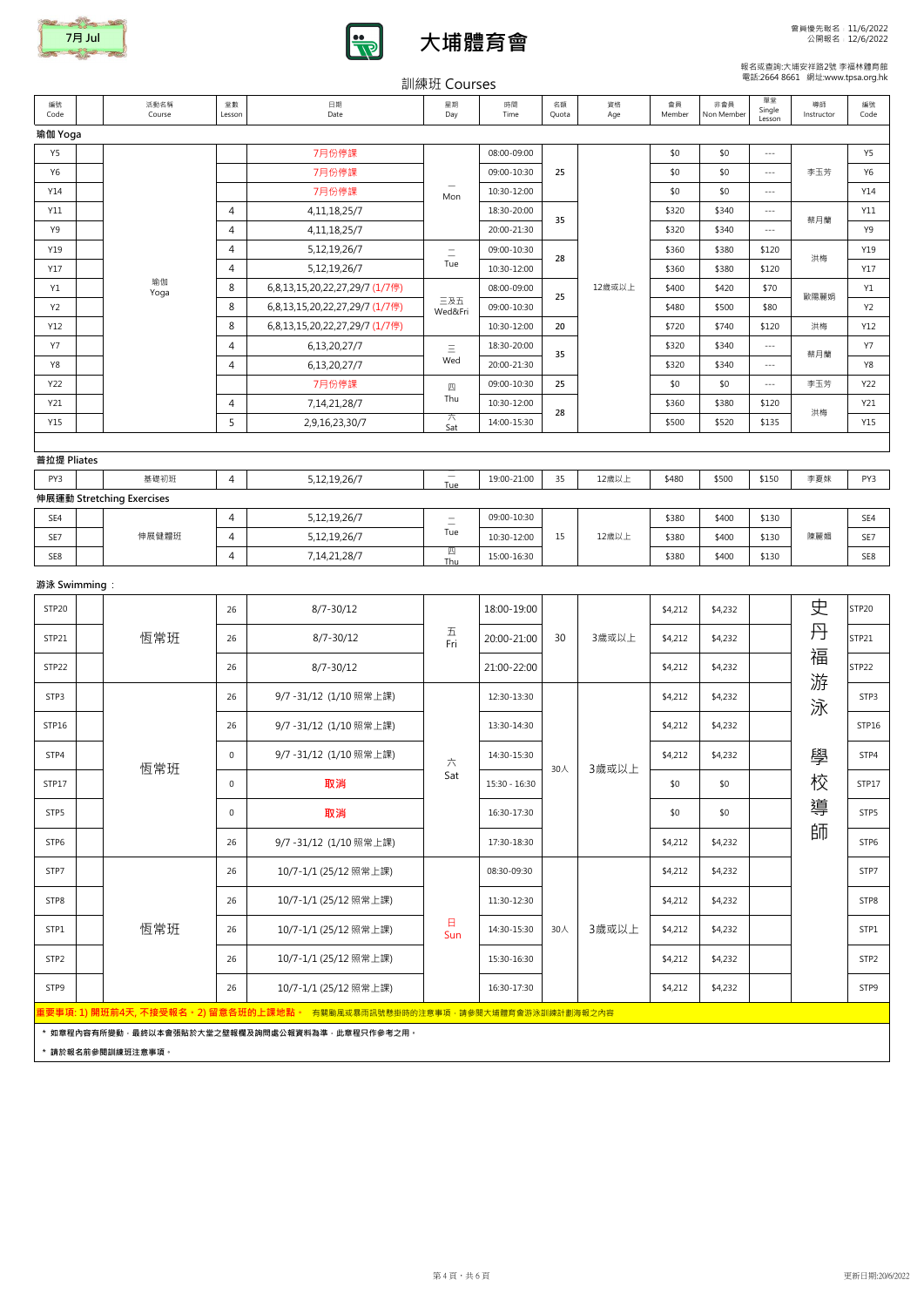|                |                           |                |                                | 訓練班 COUISES                     |               |             |           |              |                   |                        |                  |            |
|----------------|---------------------------|----------------|--------------------------------|---------------------------------|---------------|-------------|-----------|--------------|-------------------|------------------------|------------------|------------|
| 編號<br>Code     | 活動名稱<br>Course            | 堂數<br>Lesson   | 日期<br>Date                     | 星期<br>Day                       | 時間<br>Time    | 名額<br>Quota | 資格<br>Age | 會員<br>Member | 非會員<br>Non Member | 單堂<br>Single<br>Lesson | 導師<br>Instructor | 編號<br>Code |
| 瑜伽 Yoga        |                           |                |                                |                                 |               |             |           |              |                   |                        |                  |            |
| Y <sub>5</sub> |                           |                | 7月份停課                          |                                 | 08:00-09:00   |             |           | \$0          | \$0               | $\sim$ $\sim$ $\sim$   |                  | Y5         |
| <b>Y6</b>      |                           |                | 7月份停課                          |                                 | 09:00-10:30   | 25          |           | \$0          | \$0               | $-\, -\, -$            | 李玉芳              | <b>Y6</b>  |
| Y14            |                           |                | 7月份停課                          | Mon                             | 10:30-12:00   |             |           | \$0          | \$0               | $\sim$ $\sim$ $\sim$   |                  | Y14        |
| Y11            |                           | $\overline{4}$ | 4, 11, 18, 25/7                |                                 | 18:30-20:00   | 35          |           | \$320        | \$340             | $\sim$ $\sim$ $\sim$   | 蔡月蘭              | Y11        |
| Y9             |                           | 4              | 4, 11, 18, 25/7                |                                 | 20:00-21:30   |             |           | \$320        | \$340             | $- - -$                |                  | Y9         |
| Y19            |                           | 4              | 5, 12, 19, 26/7                | $\equiv$                        | 09:00-10:30   | 28          |           | \$360        | \$380             | \$120                  | 洪梅               | Y19        |
| Y17            |                           | 4              | 5, 12, 19, 26/7                | Tue                             | 10:30-12:00   |             |           | \$360        | \$380             | \$120                  |                  | Y17        |
| Y1             | 瑜伽<br>Yoga                | 8              | 6,8,13,15,20,22,27,29/7 (1/7停) |                                 | 08:00-09:00   | 25          | 12歳或以上    | \$400        | \$420             | \$70                   | 歐陽麗娟             | Y1         |
| <b>Y2</b>      |                           | 8              | 6,8,13,15,20,22,27,29/7 (1/7停) | 三及五<br>Wed&Fri                  | 09:00-10:30   |             |           | \$480        | \$500             | \$80                   |                  | <b>Y2</b>  |
| Y12            |                           | 8              | 6,8,13,15,20,22,27,29/7 (1/7停) |                                 | 10:30-12:00   | 20          |           | \$720        | \$740             | \$120                  | 洪梅               | Y12        |
| <b>Y7</b>      |                           | 4              | 6,13,20,27/7                   | $\equiv$                        | 18:30-20:00   | 35          |           | \$320        | \$340             | $\sim$ $\sim$ $\sim$   | 蔡月蘭              | <b>Y7</b>  |
| Y8             |                           | 4              | 6,13,20,27/7                   | Wed                             | 20:00-21:30   |             |           | \$320        | \$340             | $-\, -\, -$            |                  | Y8         |
| Y22            |                           |                | 7月份停課                          | 四                               | 09:00-10:30   | 25          |           | \$0          | \$0               | $\sim$ $\sim$ $\sim$   | 李玉芳              | Y22        |
| Y21            |                           | $\overline{4}$ | 7, 14, 21, 28/7                | Thu                             | 10:30-12:00   | 28          |           | \$360        | \$380             | \$120                  | 洪梅               | Y21        |
| Y15            |                           | 5              | 2,9,16,23,30/7                 | 六<br>Sat                        | 14:00-15:30   |             |           | \$500        | \$520             | \$135                  |                  | Y15        |
|                |                           |                |                                |                                 |               |             |           |              |                   |                        |                  |            |
| 普拉提 Pliates    |                           |                |                                |                                 |               |             |           |              |                   |                        |                  |            |
| PY3            | 基礎初班                      | $\overline{4}$ | 5, 12, 19, 26/7                | $\overline{\phantom{m}}$<br>Tue | 19:00-21:00   | 35          | 12歳以上     | \$480        | \$500             | \$150                  | 李夏妹              | PY3        |
|                | 伸展運動 Stretching Exercises |                |                                |                                 |               |             |           |              |                   |                        |                  |            |
| SE4            |                           | $\overline{4}$ | 5, 12, 19, 26/7                | $\equiv$                        | 09:00-10:30   |             |           | \$380        | \$400             | \$130                  |                  | SE4        |
| SE7            | 伸展健體班                     | 4              | 5, 12, 19, 26/7                | Tue                             | 10:30-12:00   | 15          | 12歳以上     | \$380        | \$400             | \$130                  | 陳麗媚              | SE7        |
| SE8            |                           | $\overline{4}$ | 7, 14, 21, 28/7                | 四<br>Thu                        | 15:00-16:30   |             |           | \$380        | \$400             | \$130                  |                  | SE8        |
| 游泳 Swimming :  |                           |                |                                |                                 |               |             |           |              |                   |                        |                  |            |
| STP20          |                           | 26             | $8/7 - 30/12$                  |                                 | 18:00-19:00   |             |           | \$4,212      | \$4,232           |                        | 史                | STP20      |
| STP21          | 恆常班                       | 26             | $8/7 - 30/12$                  | $\overline{\mathrm{h}}$<br>Fri  | 20:00-21:00   | 30          | 3歳或以上     | \$4,212      | \$4,232           |                        | 丹                | STP21      |
| STP22          |                           | 26             | $8/7 - 30/12$                  |                                 | 21:00-22:00   |             |           | \$4,212      | \$4,232           |                        | 福                | STP22      |
| STP3           |                           | 26             | 9/7-31/12 (1/10照常上課)           |                                 | 12:30-13:30   |             |           | \$4,212      | \$4,232           |                        | 游<br>泳           | STP3       |
| STP16          |                           | 26             | 9/7-31/12 (1/10照常上課)           |                                 | 13:30-14:30   |             |           | \$4,212      | \$4,232           |                        |                  | STP16      |
| STP4           |                           | 0              | 9/7-31/12 (1/10照常上課)           | 六                               | 14:30-15:30   |             |           | \$4,212      | \$4,232           |                        | 學                | STP4       |
| STP17          | 恆常班                       | 0              | 取消                             | Sat                             | 15:30 - 16:30 | 30人         | 3歳或以上     | \$0          | \$0               |                        | 校                | STP17      |
| STP5           |                           | 0              | 取消                             |                                 | 16:30-17:30   |             |           | \$0          | \$0               |                        | 導                | STP5       |
| CTDC           |                           |                |                                |                                 |               |             |           |              |                   |                        | 師                |            |

STP7 26 10/7-1/1 (25/12 照常上課) 08:30-09:30 \$4,212 \$4,232 STP7

STP8 26 10/7-1/1 (25/12 照常上課) 11:30-12:30 \$4,212 \$4,232 STP8

STP1 | | 恆常班 | 26 | 10/7-1/1 (25/12 照常上課) | 日 | 14:30-15:30 | 30人 | 3歲或以上 | \$4,212 | \$4,232 | | | | | STP1

STP2 26 10/7-1/1 (25/12 照常上課) 15:30-16:30 \$4,212 \$4,232 STP2

| STP <sub>9</sub> |                 | 10/7-1/1 (25/12 照常上課)                                                          | 16:30-17:30 |  | \$4,212 | \$4,232 |  | <b>STPS</b> |
|------------------|-----------------|--------------------------------------------------------------------------------|-------------|--|---------|---------|--|-------------|
|                  |                 | 重要事項: 1) 開班前4天, 不接受報名。2) 留意各班的上課地點。    有關颱風或暴雨訊號懸掛時的注意事項 · 請參閱大埔體育會游泳訓練計劃海報之內容 |             |  |         |         |  |             |
|                  |                 | * 如章程内容有所變動,最終以本會張貼於大堂之壁報欄及詢問處公報資料為準,此章程只作參考之用。                                |             |  |         |         |  |             |
|                  | 請於報名前參閱訓練班注意事項。 |                                                                                |             |  |         |         |  |             |

STP6 9/7 -31/12 (1/10 照常上課) 17:30-18:30 \$4,212 \$4,232 STP6

3歲或以上



恆常班



30人

日 Sun

### 報名或查詢:大埔安祥路2號 李福林體育館 電話:2664 8661 網址:www.tpsa.org.hk

# $\frac{1}{2}$ ll $\frac{1}{2}$   $\frac{1}{2}$   $\frac{1}{2}$   $\frac{1}{2}$   $\frac{1}{2}$   $\frac{1}{2}$   $\frac{1}{2}$   $\frac{1}{2}$   $\frac{1}{2}$   $\frac{1}{2}$   $\frac{1}{2}$   $\frac{1}{2}$   $\frac{1}{2}$   $\frac{1}{2}$   $\frac{1}{2}$   $\frac{1}{2}$   $\frac{1}{2}$   $\frac{1}{2}$   $\frac{1}{2}$   $\frac{1}{2}$   $\frac{1}{2}$

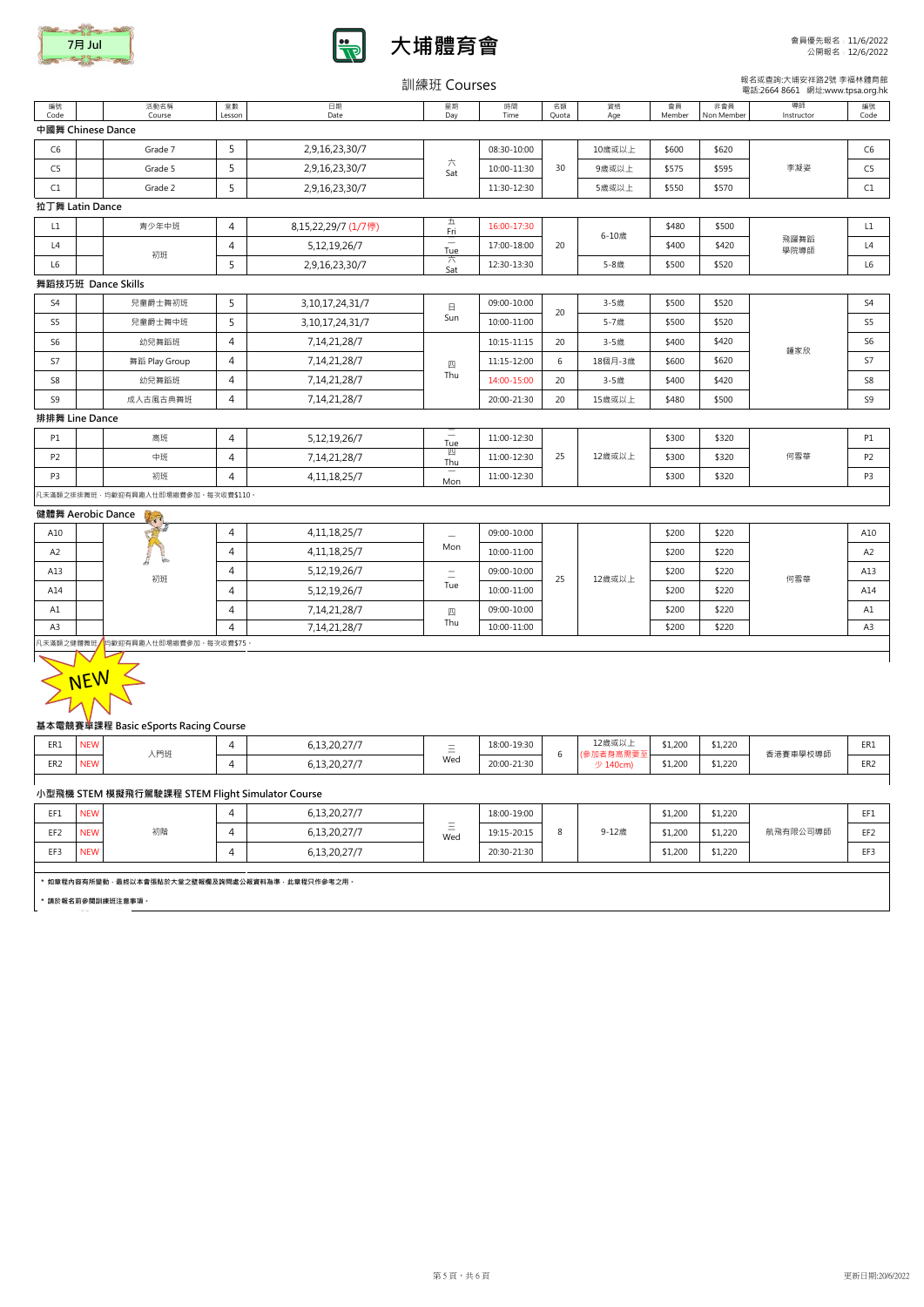

 $\overline{a}$ 

編號 Code

|                 |                                                                           |                   |                     | 訓練班 Courses                     |             |             |                       |              |                   | 報名或查詢:大埔安祥路2號 李福林體<br>電話:2664 8661 網址:www.tpsa.org |                 |
|-----------------|---------------------------------------------------------------------------|-------------------|---------------------|---------------------------------|-------------|-------------|-----------------------|--------------|-------------------|----------------------------------------------------|-----------------|
| 編號<br>Code      | 活動名稱<br>Course                                                            | 堂數<br>Lesson      | 日期<br>Date          | 星期<br>Day                       | 時間<br>Time  | 名額<br>Quota | 資格<br>Age             | 會員<br>Member | 非會員<br>Non Member | 導師<br>Instructor                                   | 編號<br>Code      |
|                 | 中國舞 Chinese Dance                                                         |                   |                     |                                 |             |             |                       |              |                   |                                                    |                 |
| C <sub>6</sub>  | Grade 7                                                                   | 5                 | 2,9,16,23,30/7      |                                 | 08:30-10:00 |             | 10歳或以上                | \$600        | \$620             |                                                    | C <sub>6</sub>  |
| C5              | Grade 5                                                                   | 5                 | 2,9,16,23,30/7      | 六<br>Sat                        | 10:00-11:30 | 30          | 9歲或以上                 | \$575        | \$595             | 李凝姿                                                | C <sub>5</sub>  |
| C1              | Grade 2                                                                   | 5                 | 2,9,16,23,30/7      |                                 | 11:30-12:30 |             | 5歳或以上                 | \$550        | \$570             |                                                    | C1              |
|                 | 拉丁舞 Latin Dance                                                           |                   |                     |                                 |             |             |                       |              |                   |                                                    |                 |
| L1              | 青少年中班                                                                     | 4                 | 8,15,22,29/7 (1/7停) | 五<br>Fri                        | 16:00-17:30 |             | 6-10歳<br>5-8歲         | \$480        | \$500             |                                                    | L1              |
| L4              |                                                                           | $\overline{4}$    | 5,12,19,26/7        | $\overline{\phantom{m}}$<br>Tue | 17:00-18:00 | 20          |                       | \$400        | \$420             | 飛躍舞蹈<br>學院導師                                       | L4              |
| L6              | 初班                                                                        | 5                 | 2,9,16,23,30/7      | 六<br>Sat                        | 12:30-13:30 |             |                       | \$500        | \$520             |                                                    | L6              |
|                 | 舞蹈技巧班 Dance Skills                                                        |                   |                     |                                 |             |             |                       |              |                   |                                                    |                 |
| S <sub>4</sub>  | 兒童爵士舞初班                                                                   | 5                 | 3, 10, 17, 24, 31/7 | 日                               | 09:00-10:00 | 20          | 3-5歳                  | \$500        | \$520             |                                                    | S <sub>4</sub>  |
| S <sub>5</sub>  | 兒童爵士舞中班                                                                   | 5                 | 3, 10, 17, 24, 31/7 | Sun                             | 10:00-11:00 |             | 5-7歳                  | \$500        | \$520             |                                                    | S5              |
| S <sub>6</sub>  | 幼兒舞蹈班                                                                     | $\overline{4}$    | 7, 14, 21, 28/7     |                                 | 10:15-11:15 | 20          | 3-5歲                  | \$400        | \$420             |                                                    | S <sub>6</sub>  |
| S7              | 舞蹈 Play Group                                                             | $\overline{4}$    | 7, 14, 21, 28/7     | 四                               | 11:15-12:00 | 6           | 18個月-3歲               | \$600        | \$620             | 鍾家欣                                                | S7              |
| S8              | 幼兒舞蹈班                                                                     | $\overline{4}$    | 7,14,21,28/7        | Thu                             | 14:00-15:00 | 20          | 3-5歲                  | \$400        | \$420             |                                                    | S <sub>8</sub>  |
| S9              | 成人古風古典舞班                                                                  | 4                 | 7, 14, 21, 28/7     |                                 | 20:00-21:30 | 20          | 15歳或以上                | \$480        | \$500             |                                                    | S <sub>9</sub>  |
|                 | 排排舞 Line Dance                                                            |                   |                     |                                 |             |             |                       |              |                   |                                                    |                 |
| <b>P1</b>       | 高班                                                                        | $\overline{4}$    | 5,12,19,26/7        | $\equiv$<br>Tue                 | 11:00-12:30 | 25          | 12歳或以上                | \$300        | \$320             |                                                    | P1              |
| <b>P2</b>       | 中班                                                                        | $\overline{4}$    | 7,14,21,28/7        | 四<br>Thu                        | 11:00-12:30 |             |                       | \$300        | \$320             | 何雪華                                                | P <sub>2</sub>  |
| P3              | 初班                                                                        | 4                 | 4, 11, 18, 25/7     | $\qquad \qquad$<br>Mon          | 11:00-12:30 |             |                       | \$300        | \$320             |                                                    | P3              |
|                 | 凡未滿額之排排舞班 · 均歡迎有興趣人仕即場繳費參加 · 每次收費\$110 ·                                  |                   |                     |                                 |             |             |                       |              |                   |                                                    |                 |
|                 | 健體舞 Aerobic Dance                                                         |                   |                     |                                 |             |             |                       |              |                   |                                                    |                 |
| A10             |                                                                           | 4                 | 4, 11, 18, 25/7     |                                 | 09:00-10:00 | 25          | 12歳或以上                | \$200        | \$220             |                                                    | A10             |
| A2              | $\frac{1}{2}$<br>Ŀ                                                        | 4                 | 4, 11, 18, 25/7     | Mon                             | 10:00-11:00 |             |                       | \$200        | \$220             |                                                    | A2              |
| A13             | 初班                                                                        | 4                 | 5,12,19,26/7        | $\equiv$                        | 09:00-10:00 |             |                       | \$200        | \$220             | 何雪華                                                | A13             |
| A14             |                                                                           | 4                 | 5, 12, 19, 26/7     | Tue                             | 10:00-11:00 |             |                       | \$200        | \$220             |                                                    | A14             |
| A1              |                                                                           | 4                 | 7, 14, 21, 28/7     | 四                               | 09:00-10:00 |             |                       | \$200        | \$220             |                                                    | A1              |
| A <sub>3</sub>  |                                                                           | $\overline{4}$    | 7,14,21,28/7        | Thu                             | 10:00-11:00 |             |                       | \$200        | \$220             |                                                    | A <sub>3</sub>  |
|                 | 凡未滿額之健體舞班/均歡迎有興趣人仕即場繳費參加。每次收費\$75。                                        |                   |                     |                                 |             |             |                       |              |                   |                                                    |                 |
|                 | NEW<br>基本電競賽車課程 Basic eSports Racing Course                               |                   |                     |                                 |             |             |                       |              |                   |                                                    |                 |
| ER1             | <b>NEW</b>                                                                | 4                 | 6,13,20,27/7        | $\equiv$                        | 18:00-19:30 |             | 12歳或以上                | \$1,200      | \$1,220           |                                                    | ER1             |
| ER <sub>2</sub> | 入門班<br><b>NEW</b>                                                         | 4                 | 6,13,20,27/7        | Wed                             | 20:00-21:30 | 6           | (參加者身高需要至<br>少 140cm) | \$1,200      | \$1,220           | 香港賽車學校導師                                           | ER <sub>2</sub> |
|                 |                                                                           |                   |                     |                                 |             |             |                       |              |                   |                                                    |                 |
|                 | 小型飛機 STEM 模擬飛行駕駛課程 STEM Flight Simulator Course                           |                   |                     |                                 |             |             |                       |              |                   |                                                    |                 |
| EF1             | <b>NEW</b>                                                                | $\overline{4}$    | 6,13,20,27/7        |                                 | 18:00-19:00 |             |                       | \$1,200      | \$1,220           |                                                    | EF1             |
| EF <sub>2</sub> | 初階<br><b>NEW</b>                                                          | 4<br>6,13,20,27/7 | $\equiv$<br>Wed     | 19:15-20:15                     | 8           | 9-12歳       | \$1,200               | \$1,220      | 航飛有限公司導師          | EF <sub>2</sub>                                    |                 |
| EF3             | <b>NEW</b>                                                                | 4                 | 6,13,20,27/7        |                                 | 20:30-21:30 |             |                       | \$1,200      | \$1,220           |                                                    | EF3             |
|                 | * 如章程内容有所變動 · 最終以本會張貼於大堂之壁報欄及詢問處公報資料為準 · 此章程只作參考之用 ·<br>* 請於報名前參閱訓練班注意事項。 |                   |                     |                                 |             |             |                       |              |                   |                                                    |                 |

 報名或查詢:大埔安祥路2號 李福林體育館 電話:2664 8661 網址:www.tpsa.org.hk